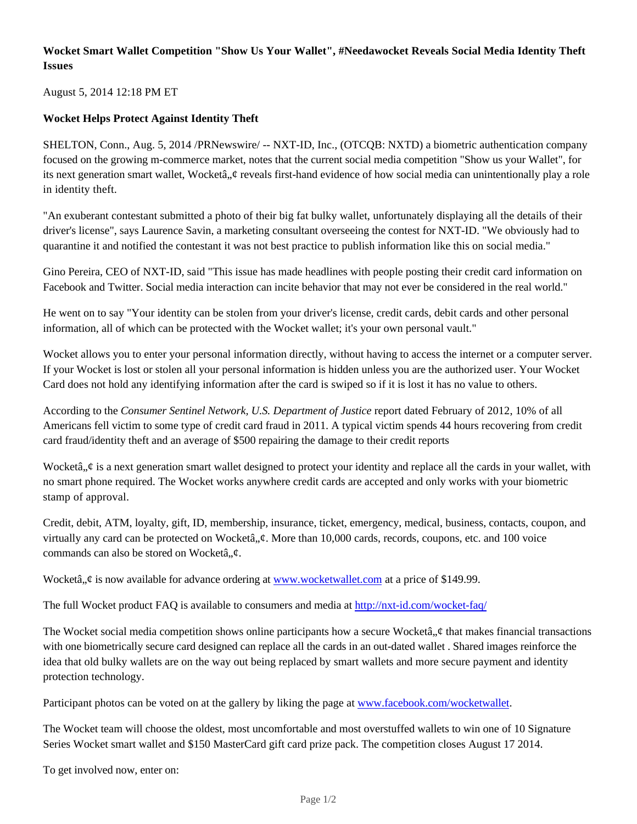## **Wocket Smart Wallet Competition "Show Us Your Wallet", #Needawocket Reveals Social Media Identity Theft Issues**

August 5, 2014 12:18 PM ET

## **Wocket Helps Protect Against Identity Theft**

SHELTON, Conn., Aug. 5, 2014 /PRNewswire/ -- NXT-ID, Inc., (OTCQB: NXTD) a biometric authentication company focused on the growing m-commerce market, notes that the current social media competition "Show us your Wallet", for its next generation smart wallet, Wocketâ,  $\phi$  reveals first-hand evidence of how social media can unintentionally play a role in identity theft.

"An exuberant contestant submitted a photo of their big fat bulky wallet, unfortunately displaying all the details of their driver's license", says Laurence Savin, a marketing consultant overseeing the contest for NXT-ID. "We obviously had to quarantine it and notified the contestant it was not best practice to publish information like this on social media."

Gino Pereira, CEO of NXT-ID, said "This issue has made headlines with people posting their credit card information on Facebook and Twitter. Social media interaction can incite behavior that may not ever be considered in the real world."

He went on to say "Your identity can be stolen from your driver's license, credit cards, debit cards and other personal information, all of which can be protected with the Wocket wallet; it's your own personal vault."

Wocket allows you to enter your personal information directly, without having to access the internet or a computer server. If your Wocket is lost or stolen all your personal information is hidden unless you are the authorized user. Your Wocket Card does not hold any identifying information after the card is swiped so if it is lost it has no value to others.

According to the *Consumer Sentinel Network, U.S. Department of Justice* report dated February of 2012, 10% of all Americans fell victim to some type of credit card fraud in 2011. A typical victim spends 44 hours recovering from credit card fraud/identity theft and an average of \$500 repairing the damage to their credit reports

Wocketâ,  $\phi$  is a next generation smart wallet designed to protect your identity and replace all the cards in your wallet, with no smart phone required. The Wocket works anywhere credit cards are accepted and only works with your biometric stamp of approval.

Credit, debit, ATM, loyalty, gift, ID, membership, insurance, ticket, emergency, medical, business, contacts, coupon, and virtually any card can be protected on Wocketâ,, $\phi$ . More than 10,000 cards, records, coupons, etc. and 100 voice commands can also be stored on Wocketâ,  $\phi$ .

Wocketâ,  $\phi$  is now available for advance ordering at www.wocketwallet.com at a price of \$149.99.

The full Wocket product FAQ is available to consumers and media at http://nxt-id.com/wocket-faq/

The Wocket social media competition shows online participants how a secure Wocketâ,  $\phi$  that makes financial transactions with one biometrically secure card designed can replace all the cards in an out-dated wallet . Shared images reinforce the idea that old bulky wallets are on the way out being replaced by smart wallets and more secure payment and identity protection technology.

Participant photos can be voted on at the gallery by liking the page at www.facebook.com/wocketwallet.

The Wocket team will choose the oldest, most uncomfortable and most overstuffed wallets to win one of 10 Signature Series Wocket smart wallet and \$150 MasterCard gift card prize pack. The competition closes August 17 2014.

To get involved now, enter on: